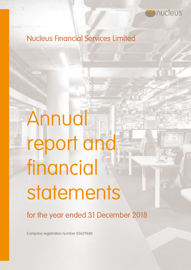

# Nucleus Financial Services Limited

# Annual report and financial statements

for the year ended 31 December 2018

Company registration number 05629686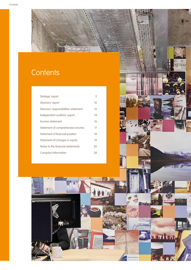# **Contents**

| Strategic report                      | 2  |
|---------------------------------------|----|
| Directors' report                     | 10 |
| Directors' responsibilities statement | 12 |
| Independent auditors' report          | 14 |
| Income statement                      | 16 |
| Statement of comprehensive income     | 17 |
| Statement of financial position       | 18 |
| Statement of changes in equity        | 19 |
| Notes to the financial statements     | 20 |
| Company information                   | 38 |



**TI** CI ю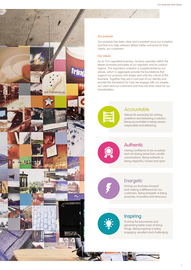#### Our purpose

Our purpose has been clear and consistent since our inception and that is to help advisers deliver better outcomes for their clients, our customers.

#### Our values

**BIRTHORY NUCLEARS** 

**VIC** 

**IEMINIAE** 

As an FCA regulated business, Nucleus operates within the eleven business principles of our regulator and its conduct regime. This regulatory underpin is supplemented by our values, which in aggregate provide the foundations that support our purpose and shape and unify the culture of the business. Together they are a core part of our identity and provide the framework for how we engage with our people, our users and our customers and how we drive value for our shareholders.



## Accountable

Taking full ownership for solving problems and delivering a solution. Being accountable is being aware, responsible and delivering.



# Authentic

Having confidence to be ourselves and not shying away from candid conversations. Being authentic is being respectful, honest and open.



# **Energetic**

Driving our business forward and making a difference for our customers. Being energetic is being proactive, innovative and tenacious.



# **Inspiring**

Pushing the boundaries and generating better ways of doing things. Being inspiring is being engaging, excellent and challenging.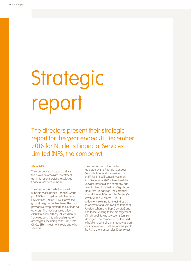# **Strategic** report

The directors present their strategic report for the year ended 31 December 2018 for Nucleus Financial Services Limited (NFS, the company).

#### About NFS

The company's principal activity is the provision of "wrap" investment administration services to selected financial advisers in the UK.

The company is a wholly owned subsidiary of Nucleus Financial Group plc (NFG) and together with Nucleus IFA Services Limited (NIFAS) forms the group (the group or Nucleus). The group provides a wrap platform to UK financial advisers. The Nucleus wrap allows clients to invest directly, or via various 'tax wrappers' into a broad range of asset types, including cash, unit trusts, OEICs, ETFs, investment trusts and other securities.

The company is authorised and regulated by the Financial Conduct Authority (FCA) and is classified as an IFPRU limited licence investment firm. Since June 2016 when it met the relevant threshold, the company has been further classified as a Significant IFPRU firm. In addition, the company has additional FCA and Her Majesty's Revenue and Customs (HMRC) obligations relating to its activities as an operator of a Self-Invested Personal Pension scheme (a Sipp Operator) and also those relating to the management of Individual Savings Accounts (an Isa Manager). The company is authorised to hold and control client money as part of its activities and is therefore subject to the FCA's client asset rules (Cass rules).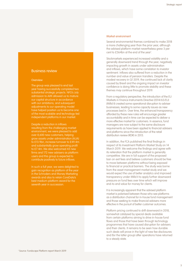#### Business review

#### **Overview**

The group was pleased to end last year having successfully completed two substantial strategic projects. NFG's July admission to AIM allowed us to mature our capital structure in accordance with our ambitions, and subsequent adjustments to our operating model have helped position us to become one of the most scalable and technology-led independent platforms in our market.

Despite a reduction in inflows resulting from the challenging market environment, we were pleased to add over 8,600 new customers, helping grow assets under administration (AUA) to £13.9bn, increase turnover to £49.4m and substantially grow operating profit

to £7.4m. We also welcomed 43 new firms and 172 new advisers as platform users and this group is expected to

contribute positively to future inflows. In such a full year, we were delighted to gain recognition as platform of the year in the Schroders and Money Marketing awards and also to retain CoreData's best medium-platform award for the seventh year in succession.

#### Market environment

Several environmental themes combined to make 2018 a more challenging year than the prior year, although the advised platform market nevertheless grew 3 per cent to £364bn at the end of the year<sup>1</sup>.

Stockmarkets experienced increased volatility and a generally downward trend through the year, negatively impacting growth in assets under administration and inflows, which have some correlation to investor sentiment. Inflows also suffered from a reduction in the number and value of pension transfers. Despite the modest recovery in Q1 2019, the continued lack of clarity caused by Brexit and the ongoing impact on investor confidence is doing little to promote stability and these themes may continue throughout 2019.

From a regulatory perspective, the introduction of the EU Markets in Finance Instruments Directive (2014/65/EU) (Mifid II) created some operational disruption to adviser businesses, leading to some capacity issues as new processes bed in. Over time, the enhanced transparency afforded by these new rules will encourage greater accountability and in time can be expected to deliver a more effective market for customers. In essence, fund managers are now subject to the same disclosure requirements as have been applied to financial advisers and platforms since the introduction of the retail distribution review (RDR) in 2013.

In addition, the FCA published the final findings in respect of its Investment Platform Market Study on 14 March 2019. We welcome the findings and agree with its reiteration that the platform market is generally competitive. We are in full support of the proposed ban on exit fees and believe customers should be free to move between platforms without being exposed to financial or practical barriers. The study was borne from the asset management market study and we would expect the use of better analytics and improved transparency under Mifid II to apply further downward pressure on fund fees over time which will improve end-to-end value for money for clients.

It is increasingly apparent that the advised platform market is polarised between those who see platforms as a distribution channel for in-house fund management and those seeking to make financial advisers more effective in the pursuit of better customer outcomes.

Platform pricing continued to drift downward in 2018, somewhat catalysed by special deals available from certain platforms aiming to drive in-house fund flows and those that have been through technology programmes that have caused disruption for advisers and their clients. It remains to be seen how durable such deals will prove in the light of new fee disclosures and (for the latter group) after operations have returned to a steady state.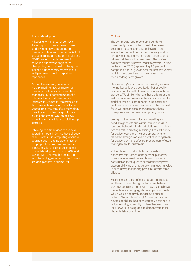#### Product development

In keeping with the rest of our sector, the early part of the year was focused on delivering new capabilities and operational changes in respect of Mifid II and General Data Protection Regulations (GDPR). We also made progress in delivering our new re-engineered client portal, an improved capital gains tool and further enhancements to our multiple award-winning reporting capabilities.

Beyond these areas, our efforts were primarily aimed at improving operational efficiency and executing changes to our operating model, the latter resulting in us having a direct licence with Bravura for the provision of its Sonata technology for the first time. Sonata sits at the core of our technology infrastructure and we are particularly excited about what we can achieve under the terms of this new relationship structure.

Following implementation of our new operating model in Q4, we have already been successful in completing a Sonata upgrade and in adding a Junior Isa to our proposition. We have planned (and expect) to substantially accelerate our product development through 2019 and beyond with a view to becoming the most technology-enabled and ultimately scalable platform in our market.

#### **Outlook**

The commercial and regulatory agenda will increasingly be set by the pursuit of improved customer outcomes and we believe our longembedded commitment to transparency and our strategy of targeting more modern and customeraligned advisers will prove correct. The advised platform market is now forecast to grow to £581bn by the end of 2023 (representing 9.3 per cent compound annual growth over the next five years<sup>1</sup> and this structural trend is a key driver of our medium/long-term growth.

Despite today's stockmarket headwinds, we view the market outlook as positive for better quality advisers and those that provide services to those advisers. We similarly believe that platform pricing will continue to correlate to the utility value on offer and that while all components in the sector are set to experience price compression, the greatest focus will arise in asset management where transparency is a more contemporary concept.

We expect the new disclosures resulting from Mifid II to generate substantial scrutiny on all-in fees and believe that advised platforms can play a positive role in creating meaningful cost efficiency for adviser users and their customers, whether delivered through improved practice management for advisers or more effective procurement of asset management for customers.

Rather than act as distribution channels for expensive retail asset management, platforms have scope to use data insights and portfolio construction techniques to substantially improve accountability across the value chain, adding value in such a way that pricing pressure may become diluted.

Successful execution of our product roadmap is vital to us accelerating growth and we believe our new operating model will allow us to achieve this without incurring significant unplanned costs which would negatively impact our financial outlook. The combination of Sonata and our inhouse capabilities has been carefully designed to balance agility, scalability and resilience and we look forward to being able to demonstrate these characteristics over time.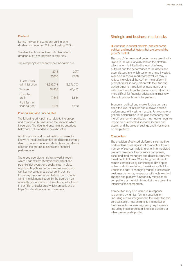#### Dividend

During the year the company paid interim dividends in June and October totalling £2.3m.

The directors have declared a further interim dividend of £3.5m, payable in May 2019.

The company's key performance indicators are:

|                                  | 2018       | 2017       |
|----------------------------------|------------|------------|
|                                  | £'000      | £'000      |
| Assets under<br>administration   | 13,883,713 | 13,576,703 |
| Turnover                         | 49,405     | 45,462     |
| Operating<br>profit              | 7.444      | 5.534      |
| Profit for the<br>financial year | 6,021      | 4.420      |

#### Principal risks and uncertainties

The following principal risks relate to the group and company's business and the sector in which it operates. The risks and uncertainties described below are not intended to be exhaustive.

Additional risks and uncertainties not presently known to the directors or that the directors currently deem to be immaterial could also have an adverse effect on the group's business and financial performance.

The group operates a risk framework through which it can systematically identify actual and potential risk events and seeks to put in place appropriate policies and controls as safeguards. Our key risk categories as set out in our risk taxonomy are summarised below, are managed within the risk appetites set by the board on an annual basis. Additional information can be found in our Pillar 3 disclosures which can be found at https://nucleusfinancial.com/investors.

## Strategic and business model risks

#### Fluctuations in capital markets, and economic, political and market factors that are beyond the group's control

The group's turnover and performance are directly linked to the value of AUA held on the platform, which in turn is linked to the level of inflows, outflows and the performance of the assets and asset classes into which customers have invested. A decline in capital market asset values may: (i) reduce the value of the AUA on the platform; (ii) prompt clients (in conjunction with their financial advisers) not to make further investments or to withdraw funds from the platform; and (iii) make it more difficult for financial advisers to attract new clients to advise through the platform.

Economic, political and market factors can also affect the level of inflows and outflows and the performance of investment assets. For example, a general deterioration in the global economy, and the UK economy in particular, may have a negative impact on customers' disposable income and assets, and the value of savings and investments on the platform.

#### **Competition**

The provision of advised platforms is competitive and Nucleus faces significant competition from a number of sources, including other intermediated platform providers, life insurance companies, asset and fund managers and direct to consumer investment platforms. While the group strives to remain competitive by continuing to develop its online and offline offering, the risk exists that it is unable to adapt to changing market pressures or customer demands, keep pace with technological change and platform functionality relative to its competitors or maintain its market share given the intensity of the competition.

Competition may also increase in response to demand dynamics, further consolidation (including vertical integration) in the wider financial services sector, new entrants to the market or the introduction of new regulatory requirements (including those targeted at financial advisers or other market participants).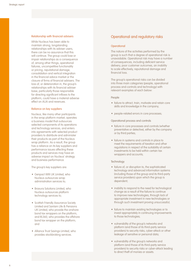#### Relationship with financial advisers

While Nucleus has been able to maintain strong, longstanding relationships with its adviser users, there can be no assurance that this will continue. The group could lose or impair relationships as a consequence of, among other things, operational failures, uncompetitive functionality or pricing, reputational damage, consolidation and vertical integration in the financial advice market or the closure of firms of financial advisers. The loss of, or deterioration in, the group's relationships with its financial adviser base, particularly those responsible for directing significant inflows to the platform, could have a material adverse effect on AUA and revenues.

#### Reliance on key suppliers

Nucleus, like many other participants in the wrap platform market, operates a business model that outsources selected components of its operations and technology services, and enters into agreements with selected product providers to distribute and administer their products as part of the Nucleus wrap platform. As a result, the group has a reliance on its key suppliers and performance issues affecting these products and services may have an adverse impact on Nucleus' strategy and business performance.

The group's key suppliers are:

- Genpact WM UK Limited, who Nucleus outsources wrap administration services to;
- Bravura Solutions Limited, who Nucleus outsources platform technology services to;
- Scottish Friendly Assurance Society Limited and Sanlam Life & Pensions UK Limited, who provide the onshore bond tax wrappers on the platform, and RL360, who provides the offshore bond tax wrapper on the platform; and
- Alliance Trust Savings Limited, who provides stockbroking services.

## Operational and regulatory risks

#### **Operational**

The nature of the activities performed by the group is such that a degree of operational risk is unavoidable. Operational risk may have a number of consequences, including deficient service delivery, poor customer outcomes, an inability to scale effectively, reputational damage and financial loss.

The group's operational risks can be divided into three main categories (people, operational process and controls and technology) with relevant examples of each below:

#### People

- failure to attract, train, motivate and retain core skills and knowledge in the company;
- people-related errors in core processes;

Operational process and controls

- failure in core processes and controls (whether preventative or detective), either by the company or by third parties;
- failure in systems and controls in place to meet the requirements of taxation and other regulations in respect of the suitability of certain investments to be held within certain tax wrappers and accounts;

#### **Technology**

- failure of, or disruption to, the sophisticated technology and advanced information systems (including those of the group and its third-party service providers) upon which the group is dependent;
- inability to respond to the need for technological change as a result of the failure to continue to improve new technologies, through lack of appropriate investment in new technologies or through such investment proving unsuccessful;
- failure to maintain existing technologies or to invest appropriately in continuing improvements to those technologies;
- vulnerability of the group's networks and platform (and those of its third-party service providers) to security risks, cyber-attack or other leakage of sensitive or personal data;
- vulnerability of the group's networks and platform (and those of its third-party service providers) to security risks or cyber-attack leading to direct theft of monies or assets.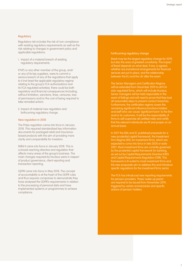#### **Regulatory**

Regulatory risk includes the risk of non-compliance with existing regulatory requirements as well as the risk relating to changes in government policy and applicable regulations:

i. Impact of a material breach of existing regulatory requirements

If NFS or any other member of the group, and/ or any of its key suppliers, were to commit a serious breach of any of the regulations that apply to it (not least the applicable regulatory regime relating to the group's FCA authorisations and its FCA regulated activities), there could be both regulatory and financial consequences (including, without limitation, sanctions, fines, censures, loss of permissions and/or the cost of being required to take remedial action).

ii. Impact of material new regulation and forthcoming regulatory change

#### New regulation in 2018

The Priips regulation came into force in January 2018. This required standardised key information documents for packaged retail and insurancebased products with the aim of providing more clarity and comparability for investors.

Mifid II came into force in January 2018. This is a broad-reaching directive and regulation that affects many areas of the group's business. The main changes required by Nucleus were in respect of product governance, client reporting and transaction reporting.

GDPR came into force in May 2018. The concept of accountability is at the heart of the GDPR rules and thus requires companies to demonstrate they have analysed the GDPR's requirements in relation to the processing of personal data and have implemented systems or programmes to achieve compliance.

#### Forthcoming regulatory change

Brexit may be the largest regulatory change for 2019, but also the area of greatest uncertainty. The impact of Brexit depends on what deal, if any, is agreed, whether any transitional arrangements for financial services are put in place, and the relationship between the EU and the UK after the event.

The Senior Managers and Certification Regime will be extended from December 2019 to all FCA solo-regulated firms, which will include Nucleus. Senior managers will be held responsible in the event of failings and will need to prove that they took all reasonable steps to prevent conduct breaches. Furthermore, the certification regime covers the remaining significant influence functions holders and staff who can cause 'significant harm' to the firm and/or its customers. It will be the responsibility of firms to self-supervise all certified roles and certify that the relevant individuals are fit and proper on an annual basis.

In 2017 the EBA and EC published proposals for a new prudential capital framework, the Investment Firm Regime (IFR), for investment firms, which are expected to come into force in late 2020 or early 2021. Most investment firms are currently governed by the prudential capital framework for banking, as set out by Capital Requirements Directive (CRD) and Capital Requirements Regulation (CRR). This framework is ill-suited to most investment firms and the new proposals aim to address this and introduce specific regulations for the investment firms sector.

The FCA has introduced new reporting requirements for pension providers. These 'wake-up packs' are required to be issued from November 2019, triggered by certain anniversaries and specific actions of pension holders.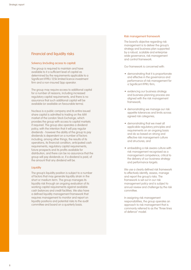## Financial and liquidity risks

#### Solvency (including access to capital)

The group is required to maintain and have available to it a sufficient level of capital as determined by the requirements applicable to a Significant IFPRU 125k limited licence investment firm and a non-insured Sipp operator.

The group may require access to additional capital for a number of reasons, including increased regulatory capital requirements, and there is no assurance that such additional capital will be available (or available on favourable terms).

Nucleus is a public company and its entire issued share capital is admitted to trading on the AIM market of the London Stock Exchange, which provides the group with access to capital markets if required. The group also operates a dividend policy, with the intention that it will pay regular dividends - however the ability of the group to pay dividends is dependent on a number of factors including, among other things, the results of its operations, its financial condition, anticipated cash requirements, regulatory capital requirements, future prospects and its profits available for distribution, and there can be no assurance that the group will pay dividends or, if a dividend is paid, of the amount that any dividend will be.

#### **Liquidity**

The group's liquidity position is subject to a number of factors that may generate liquidity strain in the short or medium term. The group manages its liquidity risk through an ongoing evaluation of its working capital requirements against available cash balances and credit facilities. We also have a defined liquidity management framework that requires management to monitor and report on liquidity positions and potential risks to the audit committee and board on a quarterly basis.

#### Risk management framework

The board's objective regarding risk management is to deliver the group's strategy and business plan supported by a robust, scalable and enterprise wide governance, risk management and control framework.

Our framework is concerned with:

- demonstrating that it is proportionate and effective in the governance and performance of risk management for a Significant IFPRU firm;
- evidencing our business strategy and business planning process are aligned with the risk management framework;
- demonstrating we manage our risk appetite tolerances and limits across agreed risk categories;
- demonstrating that we meet all applicable regulatory principles and requirements on an ongoing basis and do so based on strong and effective risk management culture and structures; and
- embedding a risk aware culture with risk management recognised as a management competence, critical to the delivery of our business strategy and performance targets.

We use a clearly defined risk framework to effectively identify, assess, manage and report the group's risks. The framework is set out in our risk management policy and is subject to annual review and challenge by the risk committee.

In assigning risk management responsibilities, the group operates an approach to risk management that is commonly referred to as the "three lines of defence" model.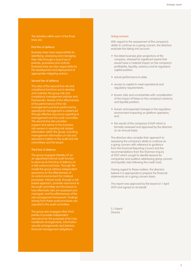The activities within each of the three lines are:

#### First line of defence

Business lines have responsibility for identifying, assessing and managing their risks through a sound set of policies, processes and controls. Business lines are also responsible for the development and deployment of appropriate mitigating actions.

#### Second line of defence

The roles of the second line risk and compliance functions are to develop and maintain the group risk and compliance management policies and frameworks. Review of the effectiveness of the performance of the risk management practices performed by operational management is evidenced through effective assurance reporting to management and the audit committee. The second line also provides support and advice to the business risk owners in reporting risk related information within the group, including management information on risk and assurance matters to the audit and risk committees and the board.

#### Third line of defence

The group engaged Deloitte LLP as an appointed internal audit function to serve as its third line of defence on a fully outsourced basis. Through the model the group obtains independent assurance on the effectiveness of its control environment for material processes. Internal audit, through a riskbased approach, provides assurance to the audit committee and the board on how effectively risks are assessed and managed, and the effectiveness of the risk management framework. Findings arising from these audit processes are reported to the audit committee.

The group also engages other third parties to provide independent assurance for the purposes of its Cass handbook arrangements, information security arrangements and statutory financial management obligations.

#### Going concern

With regard to the assessment of the company's ability to continue as a going concern, the directors evaluate this taking into account:

- the latest business plan projections of the company, stressed for significant events that would have a material impact on the company's profitability, liquidity, solvency and its regulatory capital position;
- actual performance to date;
- access to capital to meet operational and regulatory requirements;
- known risks and uncertainties with consideration of the impact of these on the company's solvency and liquidity position;
- known and expected changes in the regulatory environment impacting on platform operators; and
- the results of the company's ICAAP which is formally reviewed and approved by the directors on an annual basis.

The directors also consider their approach to assessing the company's ability to continue as a going concern with reference to guidance from the Financial Reporting Council and the recommendations from the Sharman Inquiry of 2012 which sought to identify lessons for companies and auditors addressing going concern and liquidity risks following the credit crisis.

Having regard to these matters, the directors believe it is appropriate to prepare the financial statements on a going concern basis.

This report was approved by the board on 1 April 2019 and signed on its behalf.

S J Geard **Director**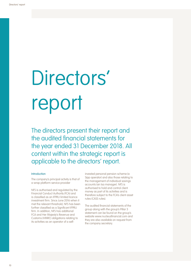# Directors' report

The directors present their report and the audited financial statements for the year ended 31 December 2018. All content within the strategic report is applicable to the directors' report.

#### Introduction

The company's principal activity is that of a wrap platform service provider

NFS is authorised and regulated by the Financial Conduct Authority (FCA) and is classified as an IFPRU limited licence investment firm. Since June 2016 when it met the relevant threshold, NFS has been further classified as a Significant IFPRU firm. In addition, NFS has additional FCA and Her Majesty's Revenue and Customs (HMRC) obligations relating to its activities as an operator of a selfinvested personal pension scheme (a Sipp operator) and also those relating to the management of individual savings accounts (an Isa manager). NFS is authorised to hold and control client money as part of its activities and is therefore subject to the FCA's client asset rules (CASS rules).

The audited financial statements of the group along with the group's Pillar 3 statement can be found on the group's website www.nucleusfinancial.com and they are also available on request from the company secretary.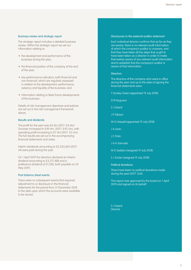#### Business review and strategic report

The strategic report includes a detailed business review. Within the strategic report we set out information relating to:

- the development and performance of the business during the year;
- the financial position of the company at the end of the year;
- key performance indicators, both financial and non-financial, which are regularly assessed in relation to the development, performance, solvency and liquidity of the business; and
- information relating to likely future developments of the business.

Details of risk management objectives and policies are set out in the risk management framework above.

#### Results and dividends

The profit for the year was £6.0m (2017: £4.4m). Turnover increased to £49.4m, (2017: £45.5m), with operating profit increasing to £7.4m (2017: £5.5m). The full results are set out in the accompanying financial statements and notes.

Interim dividends amounting to £2,335,065 (2017: nil) were paid during the year.

On 1 April 2019 the directors declared an interim dividend amounting to £3,517,488 and a preference dividend of £1,500, both payable on 23 May 2019.

#### Post balance sheet events

There were no subsequent events that required adjustment to or disclosure in the financial statements for the period from 31 December 2018 to the date upon which the accounts were available to be issued.

#### Disclosures to the external auditor statement

Each individual director confirms that as far as they are aware, there is no relevant audit information of which the company's auditor is unaware, and that they have taken all the steps that ought to have been taken as a director in order to make themselves aware of any relevant audit information and to establish that the company's auditor is aware of that information.

#### **Directors**

The directors of the company who were in office during the year and up to the date of signing the financial statements were:

- T Dunley-Owen (appointed 19 July 2018)
- D R Ferguson
- S J Geard
- J P Gibson
- M G Hassall (appointed 19 July 2018)
- J A Levin
- J C Polin
- J A A Samuels
- M D Seddon (resigned 19 July 2018)
- S J Tucker (resigned 19 July 2018)
- Political donations

There have been no political donations made during the year (2017: £nil).

This report was approved by the board on 1 April 2019 and signed on its behalf.

S J Geard **Director**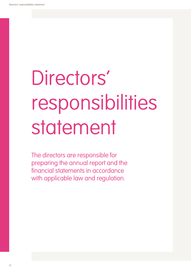# Directors' responsibilities statement

The directors are responsible for preparing the annual report and the financial statements in accordance with applicable law and regulation.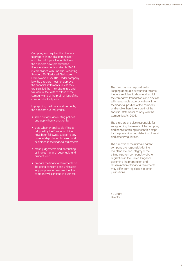Company law requires the directors to prepare financial statements for each financial year. Under that law the directors have prepared the financial statements under UK GAAP in compliance with Financial Reporting Standard 101 "Reduced Disclosure Framework") ("FRS 101"). Under company law the directors must not approve the financial statements unless they are satisfied that they give a true and fair view of the state of affairs of the company and of the profit or loss of the company for that period.

In preparing the financial statements, the directors are required to:

- select suitable accounting policies and apply them consistently;
- state whether applicable IFRSs as adopted by the European Union have been followed, subject to any material departures disclosed and explained in the financial statements;
- make judgements and accounting estimates that are reasonable and prudent; and
- prepare the financial statements on the going concern basis unless it is inappropriate to presume that the company will continue in business.

The directors are responsible for keeping adequate accounting records that are sufficient to show and explain the company's transactions and disclose with reasonable accuracy at any time the financial position of the company and enable them to ensure that the financial statements comply with the Companies Act 2006.

The directors are also responsible for safeguarding the assets of the company and hence for taking reasonable steps for the prevention and detection of fraud and other irregularities.

The directors of the ultimate parent company are responsible for the maintenance and integrity of the ultimate parent company's website. Legislation in the United Kingdom governing the preparation and dissemination of financial statements may differ from legislation in other jurisdictions.

S J Geard **Director**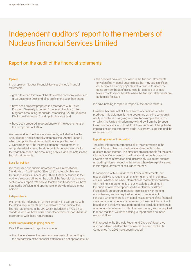# Independent auditors' report to the members of Nucleus Financial Services Limited

# Report on the audit of the financial statements

#### Opinion

In our opinion, Nucleus Financial Services Limited's financial statements:

- give a true and fair view of the state of the company's affairs as at 31 December 2018 and of its profit for the year then ended;
- have been properly prepared in accordance with United Kingdom Generally Accepted Accounting Practice (United Kingdom Accounting Standards, comprising FRS 101 "Reduced Disclosure Framework", and applicable law); and
- have been prepared in accordance with the requirements of the Companies Act 2006.

We have audited the financial statements, included within the Annual Report and Financial Statements (the "Annual Report"), which comprise: the statement of financial position as at 31 December 2018; the income statement, the statement of comprehensive income, the statement of changes in equity for the year then ended, the accounting policies; and the notes to the financial statements.

#### Basis for opinion

We conducted our audit in accordance with International Standards on Auditing (UK) ("ISAs (UK)") and applicable law. Our responsibilities under ISAs (UK) are further described in the Auditors' responsibilities for the audit of the financial statements section of our report. We believe that the audit evidence we have obtained is sufficient and appropriate to provide a basis for our opinion.

#### Independence

We remained independent of the company in accordance with the ethical requirements that are relevant to our audit of the financial statements in the UK, which includes the FRC's Ethical Standard, and we have fulfilled our other ethical responsibilities in accordance with these requirements.

#### Conclusions relating to going concern

ISAs (UK) require us to report to you when:

• the directors' use of the going concern basis of accounting in the preparation of the financial statements is not appropriate; or • the directors have not disclosed in the financial statements any identified material uncertainties that may cast significant doubt about the company's ability to continue to adopt the going concern basis of accounting for a period of at least twelve months from the date when the financial statements are authorised for issue.

We have nothing to report in respect of the above matters.

However, because not all future events or conditions can be predicted, this statement is not a guarantee as to the company's ability to continue as a going concern. For example, the terms on which the United Kingdom may withdraw from the European Union are not clear, and it is difficult to evaluate all of the potential implications on the company's trade, customers, suppliers and the wider economy.

#### Reporting on other information

The other information comprises all of the information in the Annual Report other than the financial statements and our auditors' report thereon. The directors are responsible for the other information. Our opinion on the financial statements does not cover the other information and, accordingly, we do not express an audit opinion or, except to the extent otherwise explicitly stated in this report, any form of assurance thereon.

In connection with our audit of the financial statements, our responsibility is to read the other information and, in doing so, consider whether the other information is materially inconsistent with the financial statements or our knowledge obtained in the audit, or otherwise appears to be materially misstated. If we identify an apparent material inconsistency or material misstatement, we are required to perform procedures to conclude whether there is a material misstatement of the financial statements or a material misstatement of the other information. If, based on the work we have performed, we conclude that there is a material misstatement of this other information, we are required to report that fact. We have nothing to report based on these responsibilities.

With respect to the Strategic Report and Directors' Report, we also considered whether the disclosures required by the UK Companies Act 2006 have been included.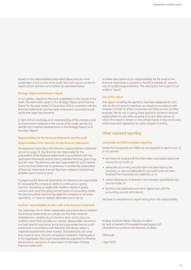Based on the responsibilities described above and our work undertaken in the course of the audit, ISAs (UK) require us also to report certain opinions and matters as described below.

#### Strategic Report and Directors' Report

In our opinion, based on the work undertaken in the course of the audit, the information given in the Strategic Report and Directors' Report for the year ended 31 December 2018 is consistent with the financial statements and has been prepared in accordance with applicable legal requirements.

In light of the knowledge and understanding of the company and its environment obtained in the course of the audit, we did not identify any material misstatements in the Strategic Report and Directors' Report.

#### Responsibilities for the financial statements and the audit

#### Responsibilities of the directors for the financial statements

As explained more fully in the Directors' responsibilities statement set out on page 12, the directors are responsible for the preparation of the financial statements in accordance with the applicable framework and for being satisfied that they give a true and fair view. The directors are also responsible for such internal control as they determine is necessary to enable the preparation of financial statements that are free from material misstatement, whether due to fraud or error.

In preparing the financial statements, the directors are responsible for assessing the company's ability to continue as a going concern, disclosing as applicable, matters related to going concern and using the going concern basis of accounting unless the directors either intend to liquidate the company or to cease operations, or have no realistic alternative but to do so.

#### Auditors' responsibilities for the audit of the financial statements

Our objectives are to obtain reasonable assurance about whether the financial statements as a whole are free from material misstatement, whether due to fraud or error, and to issue an auditors' report that includes our opinion. Reasonable assurance is a high level of assurance, but is not a guarantee that an audit conducted in accordance with ISAs (UK) will always detect a material misstatement when it exists. Misstatements can arise from fraud or error and are considered material if, individually or in the aggregate, they could reasonably be expected to influence the economic decisions of users taken on the basis of these financial statements.

A further description of our responsibilities for the audit of the financial statements is located on the FRC's website at: www.frc. org.uk/auditorsresponsibilities. This description forms part of our auditors' report.

#### Use of this report

This report, including the opinions, has been prepared for and only for the company's members as a body in accordance with Chapter 3 of Part 16 of the Companies Act 2006 and for no other purpose. We do not, in giving these opinions, accept or assume responsibility for any other purpose or to any other person to whom this report is shown or into whose hands it may come save where expressly agreed by our prior consent in writing.

## Other required reporting

#### Companies Act 2006 exception reporting

Under the Companies Act 2006 we are required to report to you if, in our opinion:

- we have not received all the information and explanations we require for our audit; or
- adequate accounting records have not been kept by the company, or returns adequate for our audit have not been received from branches not visited by us; or
- certain disclosures of directors' remuneration specified by law are not made; or
- the financial statements are not in agreement with the accounting records and returns.

We have no exceptions to report arising from this responsibility.

Lindsay Gardiner (Senior Statutory Auditor) for and on behalf of PricewaterhouseCoopers LLP Chartered Accountants and Statutory Auditors

Edinburgh

1 April 2019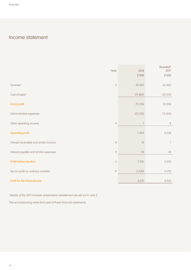# Income statement

| Note                                   |                                                   | 2018<br>£'000 | Restated*<br>2017<br>£'000 |
|----------------------------------------|---------------------------------------------------|---------------|----------------------------|
| Turnover*                              | $\sqrt{3}$                                        | 49,405        | 45,462                     |
| Cost of sales*                         |                                                   | (19, 809)     | (22, 512)                  |
| Gross profit                           |                                                   | 29,596        | 22,950                     |
| Administrative expenses                |                                                   | (22, 153)     | (17, 424)                  |
| Other operating income                 | $\overline{4}$                                    | $\mathbb{I}$  | $\, 8$                     |
| <b>Operating profit</b>                |                                                   | 7,444         | 5,534                      |
| Interest receivable and similar income | $\,8\,$                                           | 10            | 1                          |
| Interest payable and similar expenses  | $\mathcal{Q}$                                     | (3)           | (3)                        |
| Profit before taxation                 | 5                                                 | 7,451         | 5,532                      |
| Tax on profit on ordinary activities   | $\left\vert \left\vert {}\right\vert \right\vert$ | (1, 430)      | (1, 112)                   |
| Profit for the financial year          |                                                   | 6,021         | 4,420                      |

\*details of the 2017 turnover presentation restatement are set out in note 2.

The accompanying notes form part of these financial statements.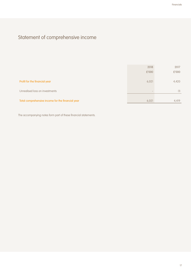# Statement of comprehensive income

|                                                   | 2018  | 2017  |
|---------------------------------------------------|-------|-------|
|                                                   | £'000 | £'000 |
| Profit for the financial year                     | 6,021 | 4,420 |
| Unrealised loss on investments                    |       | (1)   |
| Total comprehensive income for the financial year | 6,021 | 4,419 |

The accompanying notes form part of these financial statements.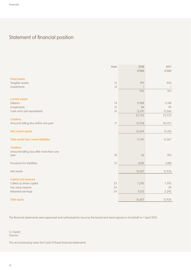# Statement of financial position

|                                         | Note   | 2018<br>£'000 | 2017<br>£'000            |
|-----------------------------------------|--------|---------------|--------------------------|
| <b>Fixed assets</b>                     |        |               |                          |
| Tangible assets                         | 12     | 991           | 950                      |
| Investments                             | 13     |               | $\overline{\phantom{a}}$ |
|                                         |        | 992           | 951                      |
| <b>Current assets</b>                   |        |               |                          |
| <b>Debtors</b>                          | 14     | 9,988         | 9,108                    |
| Investments                             | 15     | 84            | 99                       |
| Cash and cash equivalents               | 16     | 15,691        | 13,366                   |
|                                         |        | 25,763        | 22,573                   |
| <b>Creditors</b>                        |        |               |                          |
| Amounts falling due within one year     | 17     | (9, 514)      | (10, 157)                |
| Net current assets                      |        | 16,249        | 12,416                   |
| Total assets less current liabilities   |        | 17,241        | 13,367                   |
| <b>Creditors</b>                        |        |               |                          |
| Amounts falling due after more than one |        |               |                          |
| year                                    | $18\,$ | (6)           | (93)                     |
| Provisions for liabilities              | 21     | (628)         | (348)                    |
|                                         |        |               |                          |
| Net assets                              |        | 16,607        | 12,926                   |
| <b>Capital and reserves</b>             |        |               |                          |
| Called up share capital                 | 23     | 7,595         | 7,595                    |
| Fair value reserve                      | 24     |               | 39                       |
| Retained earnings                       | 24     | 9,012         | 5,292                    |
| <b>Total equity</b>                     |        | 16,607        | 12,926                   |

The financial statements were approved and authorised for issue by the board and were signed on its behalf on 1 April 2019.

S J Geard Director

The accompanying notes form part of these financial statements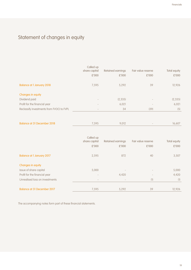# Statement of changes in equity

|                                           | Called up<br>share capital<br>£'000 | Retained earnings<br>£'000 | Fair value reserve<br>£'000 | Total equity<br>£'000 |
|-------------------------------------------|-------------------------------------|----------------------------|-----------------------------|-----------------------|
| <b>Balance at 1 January 2018</b>          | 7,595                               | 5,292                      | 39                          | 12,926                |
| Changes in equity                         |                                     |                            |                             |                       |
| Dividend paid                             | $\qquad \qquad$                     | (2, 335)                   | $\overline{\phantom{a}}$    | (2, 335)              |
| Profit for the financial year             |                                     | 6,021                      |                             | 6,021                 |
| Reclassify investments from FVOCI to FVPL | $\qquad \qquad$                     | 34                         | (39)                        | (5)                   |
|                                           |                                     |                            |                             |                       |
| <b>Balance at 31 December 2018</b>        | 7,595                               | 9,012                      |                             | 16,607                |

|                                  | Called up<br>share capital<br>£'000 | Retained earnings<br>£'000 | Fair value reserve<br>£'000 | Total equity<br>£'000 |
|----------------------------------|-------------------------------------|----------------------------|-----------------------------|-----------------------|
| <b>Balance at 1 January 2017</b> | 2,595                               | 872                        | 40                          | 3,507                 |
| Changes in equity                |                                     |                            |                             |                       |
| Issue of share capital           | 5,000                               | $\overline{\phantom{a}}$   |                             | 5,000                 |
| Profit for the financial year    |                                     | 4,420                      |                             | 4,420                 |
| Unrealised loss on investments   | $\qquad \qquad \blacksquare$        | $\overline{\phantom{a}}$   | (1)                         | (1)                   |
|                                  |                                     |                            |                             |                       |
| Balance at 31 December 2017      | 7,595                               | 5,292                      | 39                          | 12,926                |

The accompanying notes form part of these financial statements.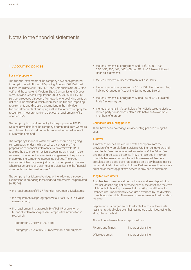## 1. Accounting policies

#### Basis of preparation

The financial statements of the company have been prepared in compliance with Financial Reporting Standard 101 "Reduced Disclosure Framework") ("FRS 101"), the Companies Act 2006 ("the Act") and the Large and Medium-Sized Companies and Groups (Accounts and Reports) Regulations 2008 (SI 2008/410). FRS 101 sets out a reduced disclosure framework for a qualifying entity as defined in the standard which addresses the financial reporting requirements and disclosure exemptions in the individual financial statements of qualifying entities that otherwise apply the recognition, measurement and disclosure requirements of EUadopted IFRS.

The company is a qualifying entity for the purposes of FRS 101. Note 26 gives details of the company's parent and from where its consolidated financial statements prepared in accordance with IFRS may be obtained.

The company's financial statements are prepared on a going concern basis, under the historical cost convention. The preparation of financial statements in conformity with FRS 101 requires the use of certain critical accounting estimates. It also requires management to exercise its judgement in the process of applying the company's accounting policies. The areas involving a higher degree of judgement or complexity, or areas where assumptions and estimates are significant to the financial statements are disclosed in note 2.

The company has taken advantage of the following disclosure exemptions in preparing these financial statements, as permitted by FRS 101:

- the requirements of IFRS 7 Financial Instruments: Disclosures;
- the requirements of paragraphs 91 to 99 of IFRS 13 Fair Value Measurement;
- the requirement in paragraph 38 of IAS 1 Presentation of Financial Statements to present comparative information in respect of:
	- paragraph 79 (a) (iv) of IAS 1; and
	- paragraph 73 (e) of IAS 16 Property Plant and Equipment
- the requirements of paragraphs 10(d), 10(f), 16, 38A, 38B, 38C, 38D, 40A, 40B, 40C, 40D and 111 of IAS 1 Presentation of Financial Statements;
- the requirements of IAS 7 Statement of Cash Flows:
- the requirements of paragraphs 30 and 31 of IAS 8 Accounting Policies, Changes in Accounting Estimates and Errors;
- the requirements of paragraphs 17 and 18A of IAS 24 Related Party Disclosures; and
- the requirements in IAS 24 Related Party Disclosures to disclose related party transactions entered into between two or more members of a group.

#### Changes in accounting policies

There have been no changes in accounting policies during the year.

#### **Turnover**

Turnover comprises fees earned by the company from the provision of a wrap platform service to UK financial advisers and their clients. Fees are recognised exclusive of Value Added Tax and net of large case discounts. They are recorded in the year to which they relate and can be reliably measured. Fees are calculated on a basis point rate applied on a daily basis to assets under administration on the platform. Performance obligations are satisfied as the wrap platform service is provided to customers.

#### Tangible fixed assets

Tangible fixed assets are stated at historic cost less depreciation. Cost includes the original purchase price of the asset and the costs attributable to bringing the asset to its working condition for its intended use. Impairment reviews are performed by the directors at each reporting date. There was no impairment of fixed assets in the year.

Depreciation is charged so as to allocate the cost of the assets less their residual value over their estimated useful lives, using the straight-line method.

The estimated useful lives range as follows:

| Fixtures and fittings | 4 years straight line |
|-----------------------|-----------------------|
|                       |                       |

Office equipment 3 years straight line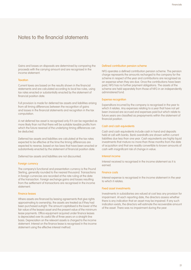Gains and losses on disposals are determined by comparing the proceeds with the carrying amount and are recognised in the income statement.

#### **Taxation**

Current taxes are based on the results shown in the financial statements and are calculated according to local tax rules, using tax rates enacted or substantially enacted by the statement of financial position date.

Full provision is made for deferred tax assets and liabilities arising from all timing differences between the recognition of gains and losses in the financial statements and recognition in the tax computation.

A net deferred tax asset is recognised only if it can be regarded as more likely than not that there will be suitable taxable profits from which the future reversal of the underlying timing differences can be deducted.

Deferred tax assets and liabilities are calculated at the tax rates expected to be effective at the time the timing differences are expected to reverse, based on tax laws that have been enacted or substantively enacted by the statement of financial position date.

Deferred tax assets and liabilities are not discounted.

#### Foreign currency

The company's functional and presentation currency is the Pound Sterling, generally rounded to the nearest thousand. Transactions in foreign currencies are recorded at the rate ruling at the date of the transaction. Foreign exchange gains and losses resulting from the settlement of transactions are recognised in the income statement.

#### Finance leases

Where assets are financed by leasing agreements that give rights approximating to ownership, the assets are treated as if they had been purchased outright. The amount capitalised is the lower of the fair value of the leased asset and the present value of the minimum lease payments. Office equipment acquired under finance leases is depreciated over its useful life of three years on a straight-line basis. Depreciation on the relevant assets is charged to the income statement. Interest on the finance lease is recognised in the income statement using the effective interest method.

#### Defined contribution pension scheme

NFG operates a defined contribution pension scheme. The pension charge represents the amounts recharged to the company for the scheme in respect of the year and contributions are recognised as an expense when they are due. Once the contributions have been paid, NFG has no further payment obligations. The assets of the scheme are held separately from those of NFG in an independently administered fund.

#### Expense recognition

Expenditure incurred by the company is recognised in the year to which it relates. Any expenses relating to a year that have not yet been invoiced are accrued and expenses paid but which relate to future years are classified as prepayments within the statement of financial position.

#### Cash and cash equivalents

Cash and cash equivalents include cash in hand and deposits held at call with banks. Bank overdrafts are shown within current liabilities due less than one year. Cash equivalents are highly liquid investments that mature no more than three months from the date of acquisition and that are readily convertible to known amounts of cash with insignificant risk of change in value.

#### Interest income

Interest received is recognised in the income statement as it is earned.

#### Finance costs

Interest expense is recognised in the income statement in the year to which it relates.

#### Fixed asset investments

Investments in subsidiaries are valued at cost less any provision for impairment. At each reporting date, the directors assess whether there is any indication that an asset may be impaired. If any such indication exists, the directors will estimate the recoverable amount of the asset. There was no impairment during the year.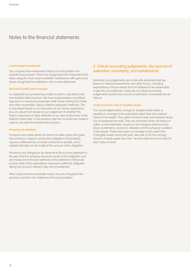#### Current asset investments

The company has investments held by it on the platform for operational purposes. These are recognised and measured at fair value using the most recent available market price with gains and losses recognised immediately in the income statement.

#### Bad and doubtful debt provision

An expected loss provisioning model is used to calculate a bad and doubtful debt provision. We have implemented a simplified approach to measuring expected credit losses arising from trade and other receivables, being a lifetime expected credit loss. This is calculated based on an evaluation of our historic experience plus an adjustment based on our judgement of whether this historic experience is likely reflective of our view of the future at the balance sheet date. In the previous year the incurred loss model is used to calculate the impairment provision.

#### Provisions for liabilities

Provisions are made where an event has taken place that gives the company a legal or constructive obligation that probably requires settlement by a transfer of economic benefit, and a reliable estimate can be made of the amount of the obligation.

Provisions are charged as an expense to the income statement in the year that the company becomes aware of the obligation and are measured at the best estimate at the statement of financial position date of the expenditure required to settle the obligation, taking into account relevant risks and uncertainties.

When payments are eventually made, they are charged to the provision carried in the statement of financial position.

## 2. Critical accounting judgements, key sources of estimation uncertainty, and restatements

Estimates and judgements are continually evaluated and are based on historical experience and other factors, including expectations of future events that are believed to be reasonable under the circumstances. There are no critical accounting judgements and the key sources of estimation uncertainty are as follows:

#### Useful economic lives of tangible assets

The annual depreciation charge for tangible fixed assets is sensitive to changes in the estimated useful lives and residual values of the assets. The useful economic lives and residual values are re-assessed annually. They are amended when necessary to reflect current estimates, based on technological advancement, future investments, economic utilisation and the physical condition of the assets. There have been no changes to the useful lives of tangible assets during the year. See note 12 for the carrying amount of fixed assets and note 1 for the useful economic lives for each class of asset.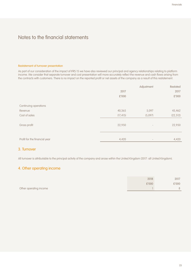#### Restatement of turnover presentation

As part of our consideration of the impact of IFRS 15 we have also reviewed our principal and agency relationships relating to platform income. We consider that separate turnover and cost presentation will more accurately reflect the revenue and cash flows arising from the contracts with customers. There is no impact on the reported profit or net assets of the company as a result of this restatement.

|                               |           | Adjustment               | Restated  |
|-------------------------------|-----------|--------------------------|-----------|
|                               | 2017      |                          | 2017      |
|                               | £'000     |                          | £'000     |
|                               |           |                          |           |
| Continuing operations         |           |                          |           |
| Revenue                       | 40,365    | 5,097                    | 45,462    |
| Cost of sales                 | (17, 415) | (5,097)                  | (22, 512) |
|                               |           |                          |           |
| Gross profit                  | 22,950    | $\overline{\phantom{a}}$ | 22,950    |
|                               |           |                          |           |
|                               |           |                          |           |
| Profit for the financial year | 4,420     | $\overline{\phantom{a}}$ | 4,420     |
|                               |           |                          |           |

## 3. Turnover

All turnover is attributable to the principal activity of the company and arose within the United Kingdom (2017: all United Kingdom).

## 4. Other operating income

|                        | 2018  | 2017  |
|------------------------|-------|-------|
|                        | £'000 | £'000 |
| Other operating income |       |       |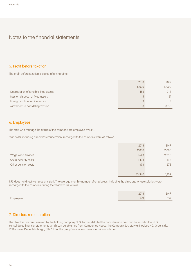## 5. Profit before taxation

The profit before taxation is stated after charging:

|                                       | 2018  | 2017  |
|---------------------------------------|-------|-------|
|                                       | £'000 | £'000 |
| Depreciation of tangible fixed assets | 488   | 312   |
| Loss on disposal of fixed assets      |       | 51    |
| Foreign exchange differences          | 3     |       |
| Movement in bad debt provision        | 8     | (287) |

## 6. Employees

The staff who manage the affairs of the company are employed by NFG.

Staff costs, including directors' remuneration, recharged to the company were as follows:

|                       | 2018   | 2017  |
|-----------------------|--------|-------|
|                       | £'000  | £'000 |
| Wages and salaries    | 11,643 | 9,298 |
| Social security costs | 1,404  | 1,136 |
| Other pension costs   | 893    | 675   |
|                       |        |       |
|                       | 13,940 | 1.109 |

NFS does not directly employ any staff. The average monthly number of employees, including the directors, whose salaries were recharged to the company during the year was as follows:

|           | 2018 | 2017                           |
|-----------|------|--------------------------------|
| Employees | 201  | 57<br>$\overline{\phantom{0}}$ |

## 7. Directors remuneration

The directors are remunerated by the holding company NFG. Further detail of the consideration paid can be found in the NFG consolidated financial statements which can be obtained from Companies House, the Company Secretary at Nucleus HQ, Greenside, 12 Blenheim Place, Edinburgh, EH7 5JH or the group's website www.nucleusfinancial.com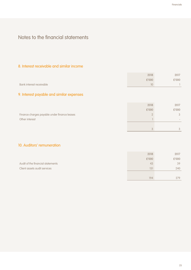# 8. Interest receivable and similar income

|                          | 2018  | 2017  |
|--------------------------|-------|-------|
|                          | £'000 | £'000 |
| Bank interest receivable | 10    |       |

# 9. Interest payable and similar expenses

|                                              | 2018  | 2017                     |
|----------------------------------------------|-------|--------------------------|
|                                              | £'000 | £'000                    |
| Finance charges payable under finance leases |       | 3                        |
| Other interest                               |       | $\overline{\phantom{a}}$ |
|                                              |       |                          |
|                                              |       | $\Omega$                 |

# 10. Auditors' remuneration

|                                   | 2018  | 2017  |
|-----------------------------------|-------|-------|
|                                   | £'000 | £'000 |
| Audit of the financial statements | 43    | 39    |
| Client assets audit services      | 151   | 240   |
|                                   |       |       |
|                                   | 194   | 279   |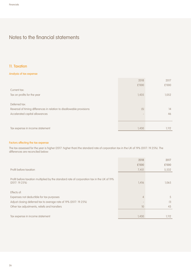## 11. Taxation

#### Analysis of tax expense

|                                                                       | 2018  | 2017  |
|-----------------------------------------------------------------------|-------|-------|
|                                                                       | £'000 | £'000 |
| Current tax:                                                          |       |       |
| Tax on profits for the year                                           | 1,435 | 1,052 |
|                                                                       |       |       |
| Deferred tax:                                                         |       |       |
| Reversal of timing differences in relation to disallowable provisions | (5)   | 14    |
| Accelerated capital allowances                                        |       | 46    |
|                                                                       |       |       |
|                                                                       |       |       |
| Tax expense in income statement                                       | 1,430 | 1,112 |

#### Factors affecting the tax expense

The tax assessed for the year is higher (2017: higher than) the standard rate of corporation tax in the UK of 19% (2017: 19.25%). The differences are reconciled below:

|                                                                                                             | 2018  | 2017  |
|-------------------------------------------------------------------------------------------------------------|-------|-------|
|                                                                                                             | £'000 | £'000 |
| Profit before taxation                                                                                      | 7,451 | 5,532 |
| Profit before taxation multiplied by the standard rate of corporation tax in the UK of 19%<br>(2017:19.25%) | 1,416 | 1,065 |
| Effects of:                                                                                                 |       |       |
| Expenses not deductible for tax purposes                                                                    | 4     | 5     |
| Adjust closing deferred tax to average rate of 19% (2017: 19.25%)                                           |       | (1)   |
| Other tax adjustments, reliefs and transfers                                                                | 10    | 43    |
|                                                                                                             |       |       |
| Tax expense in income statement                                                                             | 1,430 | 1,112 |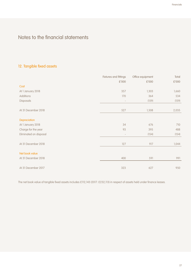# 12. Tangible fixed assets

|                        | Fixtures and fittings    | Office equipment | Total |
|------------------------|--------------------------|------------------|-------|
|                        | £'000                    | £'000            | £'000 |
| Cost                   |                          |                  |       |
| At 1 January 2018      | 357                      | 1,303            | 1,660 |
| Additions              | 170                      | 364              | 534   |
| Disposals              | $\overline{\phantom{a}}$ | (159)            | (159) |
|                        |                          |                  |       |
| At 31 December 2018    | 527                      | 1,508            | 2,035 |
|                        |                          |                  |       |
| Depreciation           |                          |                  |       |
| At 1 January 2018      | 34                       | 676              | 710   |
| Charge for the year    | 93                       | 395              | 488   |
| Eliminated on disposal | $\overline{\phantom{a}}$ | (154)            | (154) |
|                        |                          |                  |       |
| At 31 December 2018    | 127                      | 917              | 1,044 |
|                        |                          |                  |       |
| Net book value         |                          |                  |       |
| At 31 December 2018    | 400                      | 591              | 991   |
|                        |                          |                  |       |
| At 31 December 2017    | 323                      | 627              | 950   |

The net book value of tangible fixed assets includes £112,143 (2017: £232,113) in respect of assets held under finance leases.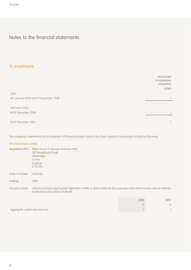## 13. Investments

|                                        | Investment<br>in subsidiary<br>companies<br>£'000 |
|----------------------------------------|---------------------------------------------------|
| Cost                                   |                                                   |
| At 1 January 2018 and 31 December 2018 |                                                   |
|                                        |                                                   |
| Net book value                         |                                                   |
| At 31 December 2018                    |                                                   |
| At 31 December 2017                    |                                                   |

The company's investments at the statement of financial position date in the share capital of companies include the following:

## NFS (Nominees) Limited

| Registered office  | Elder House St Georges Business Park<br>207 Brooklands Road<br>Weybridge<br>Surrey<br>England<br>KT13 OTS                                                         |
|--------------------|-------------------------------------------------------------------------------------------------------------------------------------------------------------------|
| Class of shares    | Ordinary                                                                                                                                                          |
| Holding            | 100%                                                                                                                                                              |
| Principal activity | Vehicle to ensure appropriate registration of title of client assets for the purposes of the client money rules as defined<br>by the Financial Conduct Authority. |

|                                | 2018 | 2017   |
|--------------------------------|------|--------|
|                                |      | $\cap$ |
| Aggregate capital and reserves |      |        |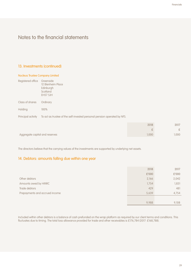## 13. Investments (continued)

#### Nucleus Trustee Company Limited

| Registered office  | Greenside<br>12 Blenheim Place<br>Edinburgh<br>Scotland<br><b>EH57 5JH</b> |       |  |
|--------------------|----------------------------------------------------------------------------|-------|--|
| Class of shares    | Ordinary                                                                   |       |  |
| Holding            | 100%                                                                       |       |  |
| Principal activity | To act as trustee of the self-invested personal pension operated by NFS.   |       |  |
|                    |                                                                            | ----- |  |

|                                | 2018 | 2017 |
|--------------------------------|------|------|
|                                |      | ÷.   |
| Aggregate capital and reserves | 000. | .000 |

The directors believe that the carrying values of the investments are supported by underlying net assets.

# 14. Debtors: amounts falling due within one year

|                                | 2018  | 2017  |
|--------------------------------|-------|-------|
|                                | £'000 | £'000 |
| Other debtors                  | 2,166 | 2,042 |
| Amounts owed by HMRC           | 1,754 | 1,831 |
| Trade debtors                  | 429   | 481   |
| Prepayments and accrued income | 5,639 | 4,754 |
|                                |       |       |
|                                | 9,988 | 9,108 |

Included within other debtors is a balance of cash prefunded on the wrap platform as required by our client terms and conditions. This fluctuates due to timing. The total loss allowance provided for trade and other receivables is £176,784 (2017: £168,788).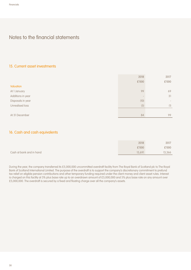## 15. Current asset investments

|                   | 2018  | 2017                         |
|-------------------|-------|------------------------------|
|                   | £'000 | £'000                        |
| Valuation         |       |                              |
| At 1 January      | 99    | 69                           |
| Additions in year |       | 31                           |
| Disposals in year | (10)  | $\qquad \qquad \blacksquare$ |
| Unrealised loss   | (5)   | (1)                          |
|                   |       |                              |
| At 31 December    | 84    | 99                           |

## 16. Cash and cash equivalents

|                          | 2018   | 2017   |
|--------------------------|--------|--------|
|                          | £'000  | £'000  |
| Cash at bank and in hand | 15,691 | 13,366 |

During the year, the company transferred its £5,000,000 uncommitted overdraft facility from The Royal Bank of Scotland plc to The Royal Bank of Scotland International Limited. The purpose of the overdraft is to support the company's discretionary commitment to prefund tax relief on eligible pension contributions and other temporary funding required under the client money and client asset rules. Interest is charged on this facility at 3% plus base rate up to an overdrawn amount of £5,000,000 and 5% plus base rate on any amount over £5,000,000. The overdraft is secured by a fixed and floating charge over all the company's assets.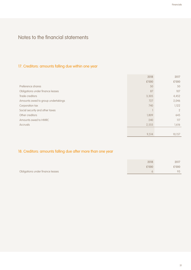# 17. Creditors: amounts falling due within one year

|                                    | 2018  | 2017           |
|------------------------------------|-------|----------------|
|                                    | £'000 | £'000          |
| Preference shares                  | 50    | 50             |
| Obligations under finance leases   | 87    | 107            |
| Trade creditors                    | 3,305 | 4,452          |
| Amounts owed to group undertakings | 727   | 2,046          |
| Corporation tax                    | 740   | 1,122          |
| Social security and other taxes    |       | $\overline{2}$ |
| Other creditors                    | 1,809 | 645            |
| Amounts owed to HMRC               | 240   | 117            |
| <b>Accruals</b>                    | 2,555 | 1,616          |
|                                    |       |                |
|                                    | 9,514 | 10,157         |

# 18. Creditors: amounts falling due after more than one year

|                                  | 2018  | 2017  |
|----------------------------------|-------|-------|
|                                  | £'000 | £'000 |
| Obligations under finance leases |       | 93    |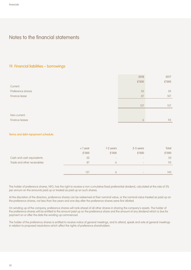## 19. Financial liabilities – borrowings

|                   | 2018  | 2017  |
|-------------------|-------|-------|
|                   | £'000 | £'000 |
| Current:          |       |       |
| Preference shares | 50    | 50    |
| Finance lease     | 87    | 107   |
|                   |       |       |
|                   | 137   | 157   |
|                   |       |       |
| Non-current:      |       |       |
| Finance leases    | 6     | 93    |

#### Terms and debt repayment schedule:

|                             | $<$ 1 year | 1-2 years                | 2-5 years                    | Total |
|-----------------------------|------------|--------------------------|------------------------------|-------|
|                             | £'000      | £'000                    | £'000                        | £'000 |
| Cash and cash equivalents   | 50         | $\overline{\phantom{a}}$ | $\qquad \qquad \blacksquare$ | 50    |
| Trade and other receivables | 87         | <sub>b</sub>             | $\overline{\phantom{a}}$     | 93    |
|                             |            |                          |                              |       |
|                             | 137        |                          | $\qquad \qquad \blacksquare$ | 143   |

The holder of preference shares, NFG, has the right to receive a non-cumulative fixed preferential dividend, calculated at the rate of 3% per annum on the amounts paid up or treated as paid up on such shares.

At the discretion of the directors, preference shares can be redeemed at their nominal value, or the nominal value treated as paid up on the preference shares, not less than five years and one day after the preference shares were first allotted.

On winding up of the company, preference shares will rank ahead of all other shares in sharing the company's assets. The holder of the preference shares will be entitled to the amount paid up on the preference share and the amount of any dividend which is due for payment on or after the date the winding up commenced.

The holder of the preference shares is entitled to receive notice of general meetings, and to attend, speak and vote at general meetings in relation to proposed resolutions which affect the rights of preference shareholders.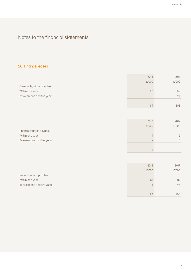# 20. Finance leases

|                            | 2018     | 2017  |
|----------------------------|----------|-------|
|                            | £'000    | £'000 |
| Gross obligations payable: |          |       |
| Within one year            | 88       | 109   |
| Between one and five years | $\sigma$ | 94    |
|                            |          |       |
|                            | gΖ       | 203   |

|                            | 2018  | 2017          |
|----------------------------|-------|---------------|
|                            | £'000 | £'000         |
| Finance charges payable:   |       |               |
| Within one year            |       | $\mathcal{D}$ |
| Between one and five years |       |               |
|                            |       |               |

|                            | 2018  | 2017  |
|----------------------------|-------|-------|
|                            | £'000 | £'000 |
| Net obligations payable:   |       |       |
| Within one year            | 87    | 107   |
| Between one and five years | 6     | 93    |
|                            |       |       |
|                            | 93    | 200   |

1 3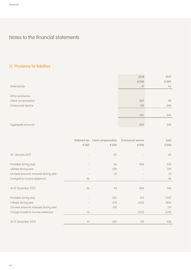# 21. Provisions for liabilities

|                     | 2018  | 2017  |
|---------------------|-------|-------|
|                     | £'000 | £'000 |
| Deferred tax        | 41    | 46    |
|                     |       |       |
| Other provisions:   |       |       |
| Client compensation | 429   | 98    |
| Outsourced service  | 158   | 204   |
|                     |       |       |
|                     | 587   | 302   |
|                     |       |       |
| Aggregate amounts   | 628   | 348   |

|                                     |       | Deferred tax Client compensation | Outsourced service | Total |
|-------------------------------------|-------|----------------------------------|--------------------|-------|
|                                     | £'000 | £'000                            | £'000              | £'000 |
|                                     |       |                                  |                    |       |
| At 1 January 2017                   |       | 85                               |                    | 85    |
| Provided during year                |       | 46                               | 204                | 250   |
| Utilised during year                |       | (28)                             |                    | (28)  |
| Unused amounts reversed during year |       | (5)                              |                    | (5)   |
| Charged to income statement         | 46    |                                  |                    | 46    |
| At 31 December 2017                 | 46    | 98                               | 204                | 348   |
| Provided during year                |       | 435                              | 612                | 1,047 |
| Utilised during year                |       | (73)                             | (333)              | (406) |
| Unused amounts reversed during year |       | (31)                             |                    | (31)  |
| Charge/(credit) to income statement | (5)   |                                  | (325)              | (330) |
| At 31 December 2018                 | 41    | 429                              | 158                | 628   |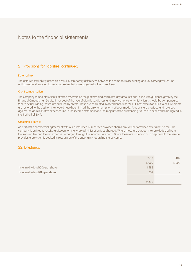## 21. Provisions for liabilities (continued)

#### Deferred tax

The deferred tax liability arises as a result of temporary differences between the company's accounting and tax carrying values, the anticipated and enacted tax rate and estimated taxes payable for the current year.

#### Client compensation

The company remediates clients affected by errors on the platform and calculates any amounts due in line with guidance given by the Financial Ombudsman Service in respect of the type of client loss, distress and inconvenience for which clients should be compensated. Where actual trading losses are suffered by clients, these are calculated in accordance with MiFID II best execution rules to ensure clients are restored to the position they would have been in had the error or omission not been made. Amounts are provided and reversed against the administrative expenses line in the income statement and the majority of the outstanding issues are expected to be agreed in the first half of 2019.

#### Outsourced service

As part of the commercial agreement with our outsourced BPO service provider, should any key performance criteria not be met, the company is entitled to receive a discount on the wrap administration fees charged. Where these are agreed, they are deducted from the invoiced fee and the net expense is charged through the income statement. Where these are uncertain or in dispute with the service provider, a provision is booked in recognition of the uncertainty regarding the outcome.

## 22. Dividends

|                                  | 2018  | 2017                         |
|----------------------------------|-------|------------------------------|
|                                  | £'000 | £'000                        |
| Interim dividend (20p per share) | 1,498 | $\qquad \qquad \blacksquare$ |
| Interim dividend (11p per share) | 837   | $\overline{\phantom{0}}$     |
|                                  |       |                              |
|                                  | 2,335 | $\overline{\phantom{0}}$     |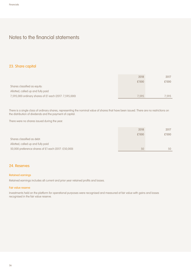## 23. Share capital

|                                                        | 2018  | 2017  |
|--------------------------------------------------------|-------|-------|
|                                                        | £'000 | £'000 |
| Shares classified as equity:                           |       |       |
| Allotted, called up and fully paid                     |       |       |
| 7,595,000 ordinary shares of £1 each (2017: 7,595,000) | 7.595 | 7.595 |

There is a single class of ordinary shares, representing the nominal value of shares that have been issued. There are no restrictions on the distribution of dividends and the payment of capital.

There were no shares issued during the year.

|                                                     | 2018  | 2017  |
|-----------------------------------------------------|-------|-------|
|                                                     | £'000 | £'000 |
| Shares classified as debt:                          |       |       |
| Allotted, called up and fully paid                  |       |       |
| 50,000 preference shares of £1 each (2017: £50,000) | 50    | 50    |

## 24. Reserves

#### Retained earnings

Retained earnings includes all current and prior year retained profits and losses.

#### Fair value reserve

Investments held on the platform for operational purposes were recognised and measured at fair value with gains and losses recognised in the fair value reserve.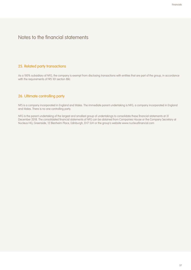## 25. Related party transactions

As a 100% subsidiary of NFG, the company is exempt from disclosing transactions with entities that are part of the group, in accordance with the requirements of FRS 101 section 8(k).

## 26. Ultimate controlling party

NFS is a company incorporated in England and Wales. The immediate parent undertaking is NFG, a company incorporated in England and Wales. There is no one controlling party.

NFG is the parent undertaking of the largest and smallest group of undertakings to consolidate these financial statements at 31 December 2018. The consolidated financial statements of NFG can be obtained from Companies House or the Company Secretary at Nucleus HQ, Greenside, 12 Blenheim Place, Edinburgh, EH7 5JH or the group's website www.nucleusfinancial.com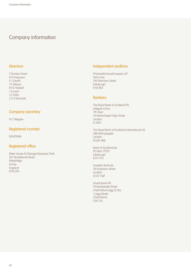# Company information

### **Directors**

T Dunley-Owen D R Ferguson S J Geard J P Gibson M G Hassall J A Levin J C Polin J A A Samuels

### Company secretary

N C Megaw

## Registered number

05629686

## Registered office

Elder House St Georges Business Park 207 Brooklands Road Weybridge Surrey England KT13 0TS

## Independent auditors

PricewaterhouseCoopers LLP Atria One 144 Morrison Street Edinburgh EH3 8EX

## **Bankers**

The Royal Bank of Scotland Plc Aldgate Union 7th Floor 10 Whitechapel High Street London E1 8DX

The Royal Bank of Scotland International Ltd 280 Bishopsgate London EC2M 4RB

Bank of Scotland plc PO Box 17235 Edinburgh EH11 1YH

Investec Bank plc 30 Gresham Street London EC2V 7QP

Lloyds Bank Plc Threadneedle Street Chelmsford Legg St Osc 1 Legg Street Chelmsford CM1 1JS